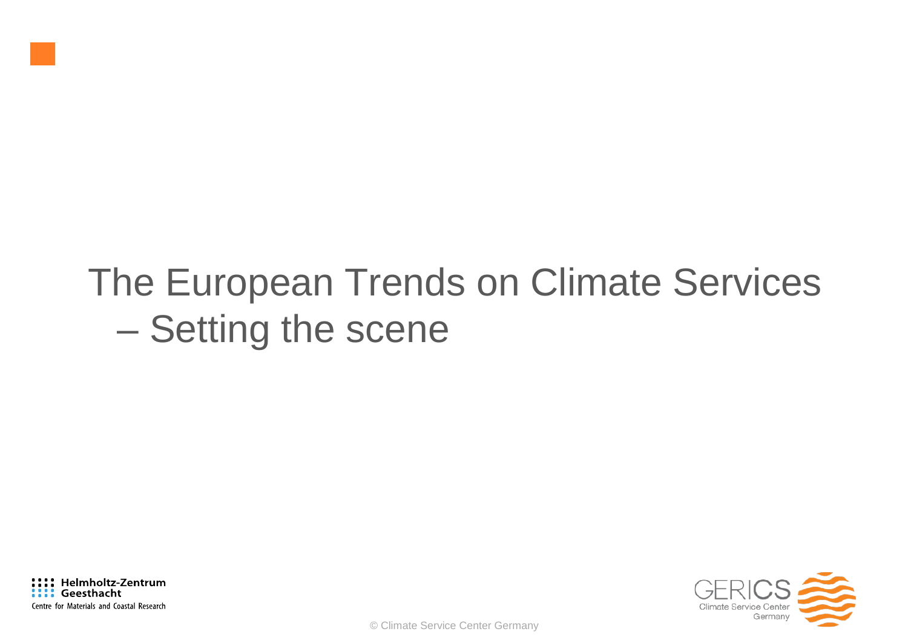# The European Trends on Climate Services – Setting the scene

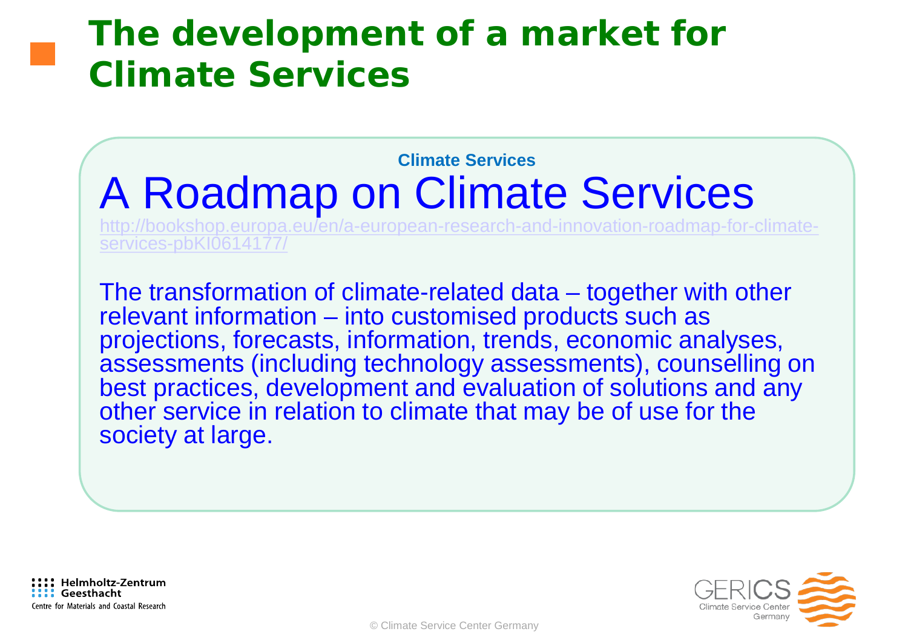#### **The development of a market for Climate Services**

#### **Climate Services** A Roadmap on Climate Services

[http://bookshop.europa.eu/en/a-european-research-and-innovation-roadmap-for-climate-](http://bookshop.europa.eu/en/a-european-research-and-innovation-roadmap-for-climate-services-pbKI0614177/) [services-pbKI0614177/](http://bookshop.europa.eu/en/a-european-research-and-innovation-roadmap-for-climate-services-pbKI0614177/)

The transformation of climate-related data – together with other relevant information – into customised products such as projections, forecasts, information, trends, economic analyses, assessments (including technology assessments), counselling on best practices, development and evaluation of solutions and any other service in relation to climate that may be of use for the society at large.

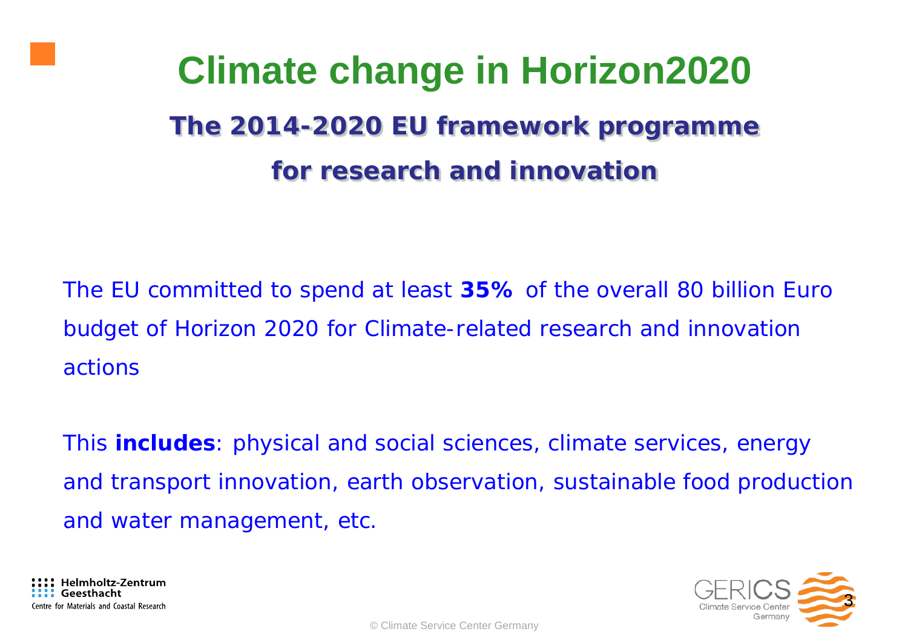# **Climate change in Horizon2020 The 2014-2020 EU framework programme for research and innovation**

The EU committed to spend at least **35%** of the overall 80 billion Euro budget of Horizon 2020 for Climate-related research and innovation actions

*This includes: physical and social sciences, climate services, energy*  and transport innovation, earth observation, sustainable food production *and water management, etc.*

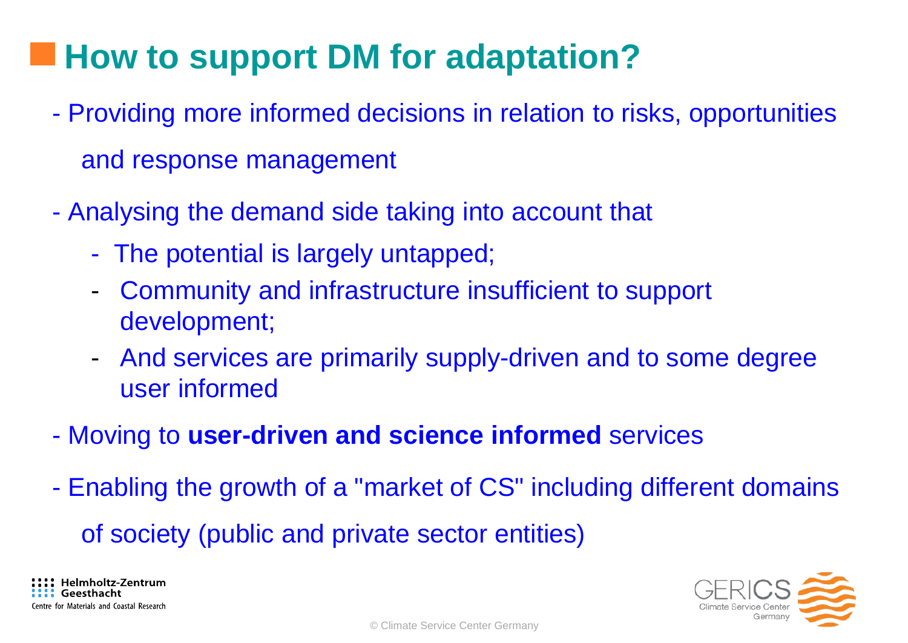### **How to support DM for adaptation?**

- Providing more informed decisions in relation to risks, opportunities and response management
- Analysing the demand side taking into account that
	- The potential is largely untapped;
	- Community and infrastructure insufficient to support development;
	- And services are primarily supply-driven and to some degree user informed
- Moving to **user-driven and science informed** services
- Enabling the growth of a "market of CS" including different domains of society (public and private sector entities)

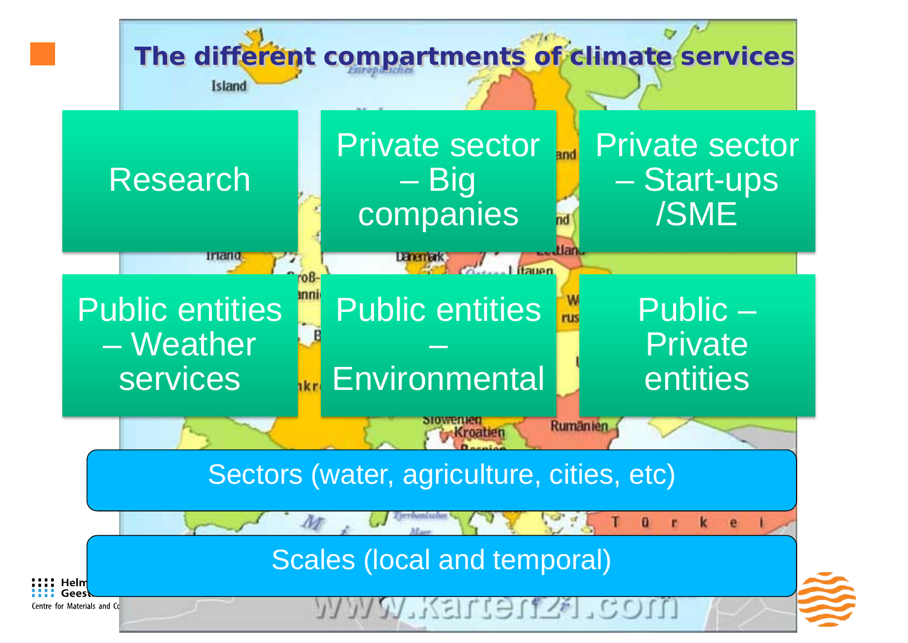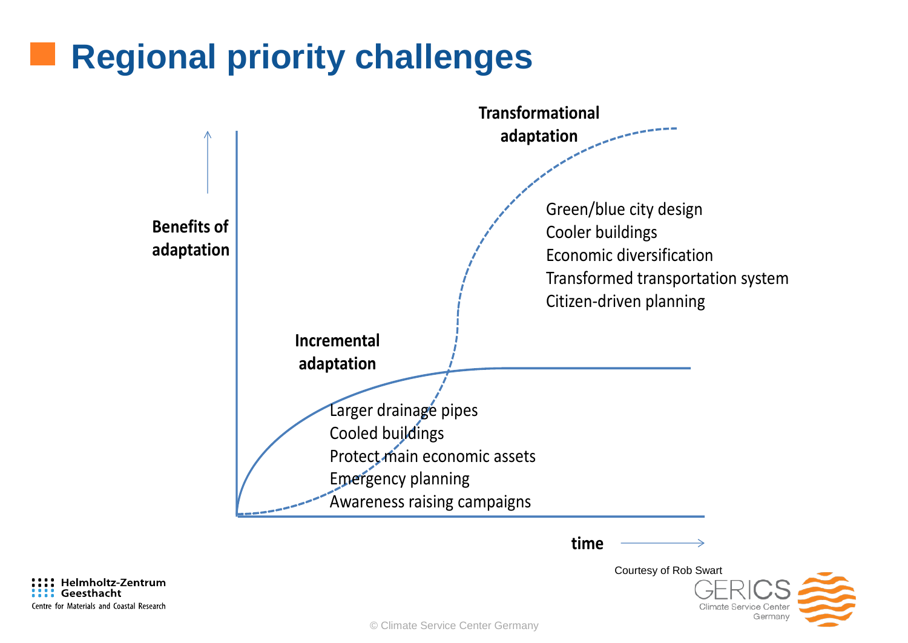#### **Regional priority challenges**



**time**

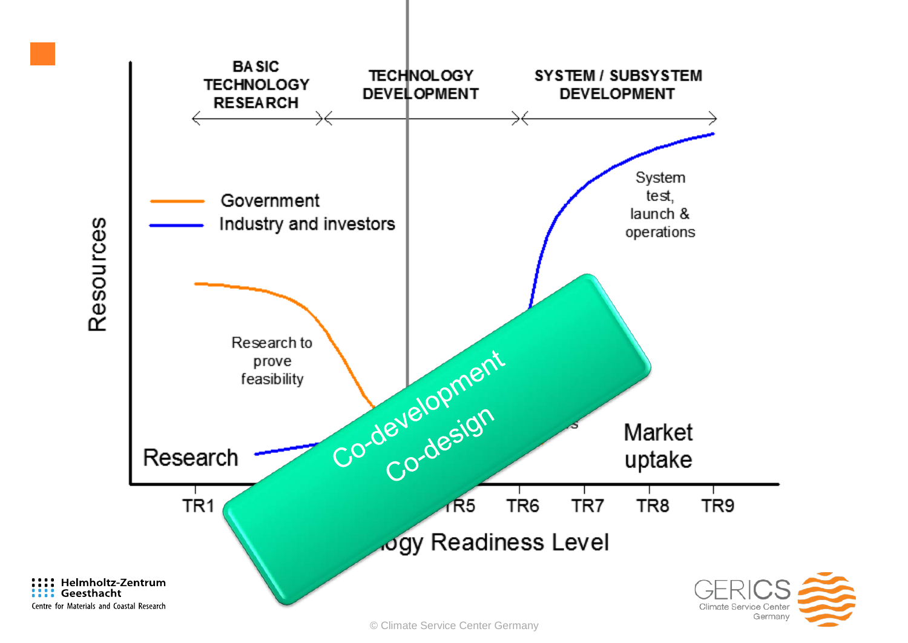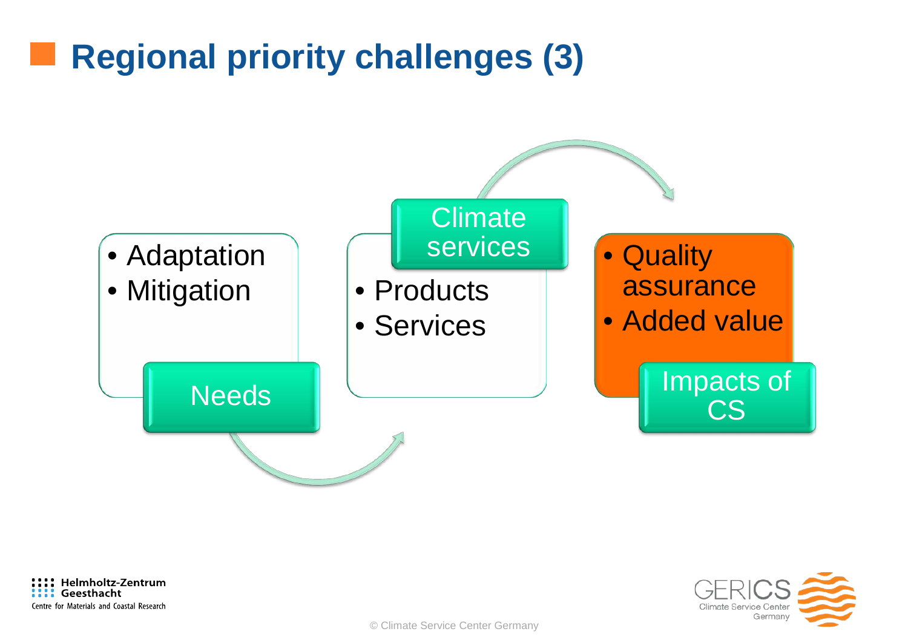### **Regional priority challenges (3)**







© Climate Service Center Germany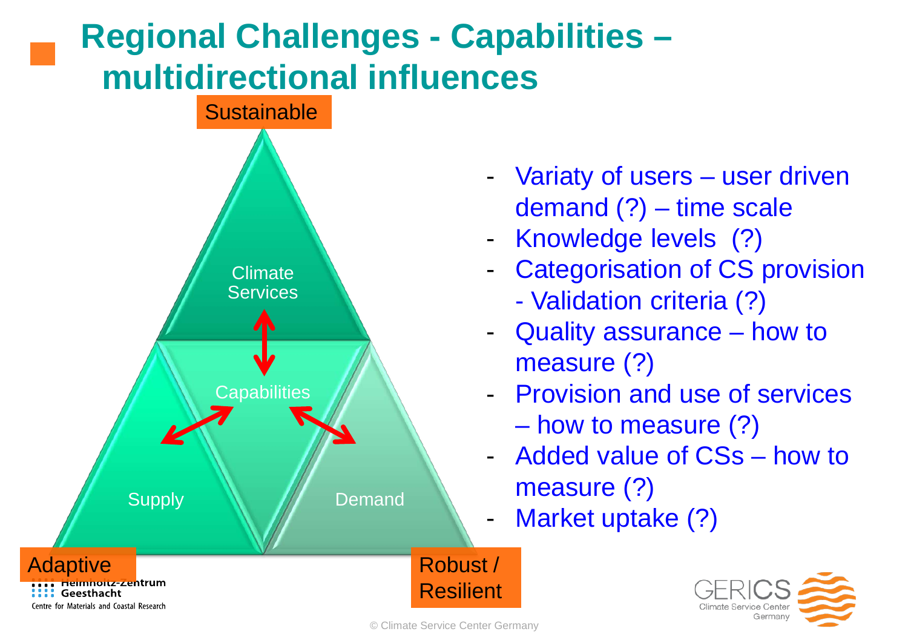## **Regional Challenges - Capabilities – multidirectional influences**



- Variaty of users user driven demand (?) – time scale
- Knowledge levels (?)
- Categorisation of CS provision
	- Validation criteria (?)
- Quality assurance how to measure (?)
- Provision and use of services – how to measure (?)
- Added value of CSs how to measure (?)
- Market uptake (?)



© Climate Service Center Germany